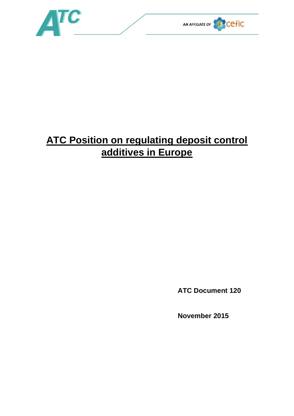

## **ATC Position on regulating deposit control additives in Europe**

**ATC Document 120**

**November 2015**